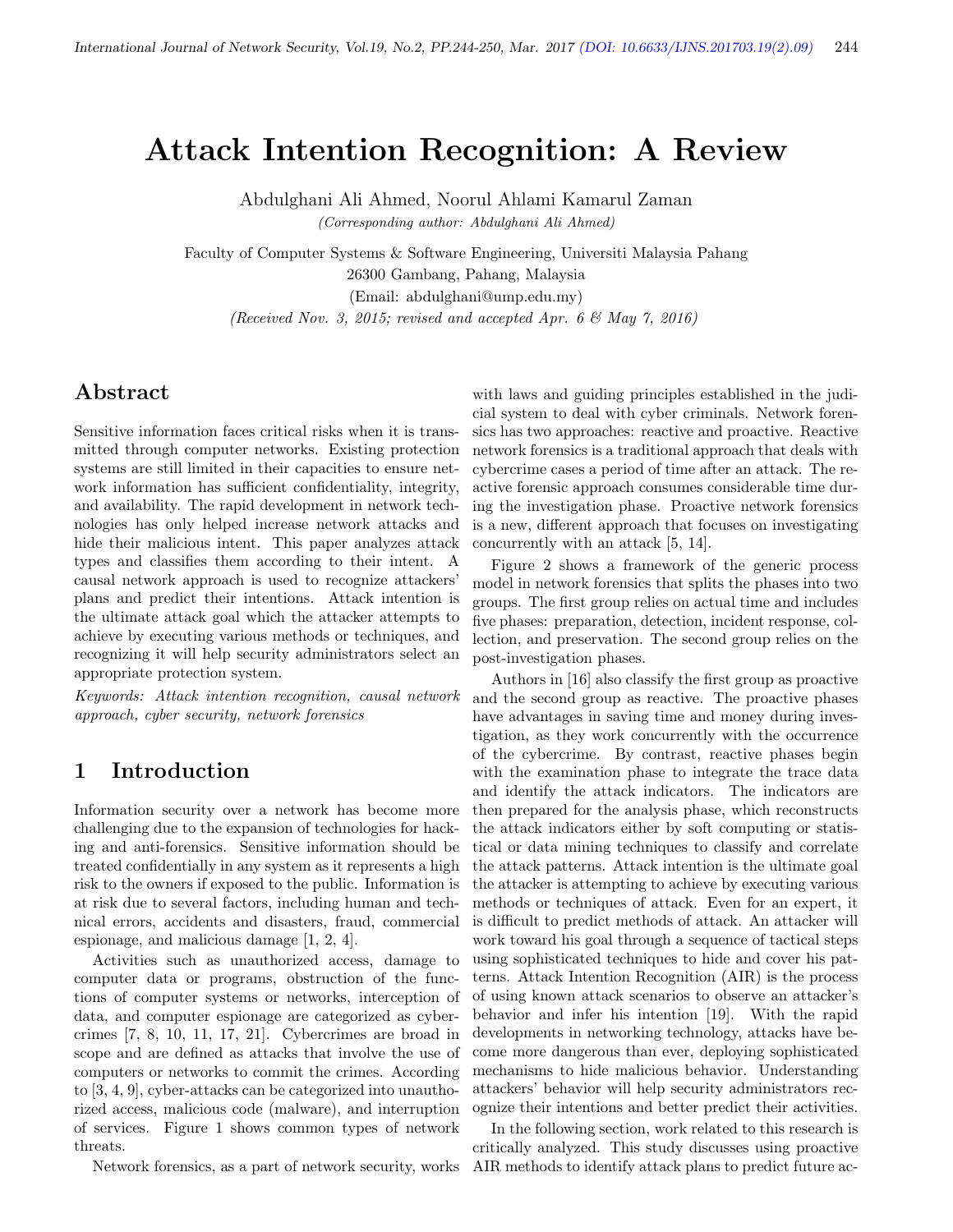# Attack Intention Recognition: A Review

Abdulghani Ali Ahmed, Noorul Ahlami Kamarul Zaman

(Corresponding author: Abdulghani Ali Ahmed)

Faculty of Computer Systems & Software Engineering, Universiti Malaysia Pahang 26300 Gambang, Pahang, Malaysia (Email: abdulghani@ump.edu.my)

(Received Nov. 3, 2015; revised and accepted Apr. 6  $\mathcal{B}$  May 7, 2016)

# Abstract

Sensitive information faces critical risks when it is transmitted through computer networks. Existing protection systems are still limited in their capacities to ensure network information has sufficient confidentiality, integrity, and availability. The rapid development in network technologies has only helped increase network attacks and hide their malicious intent. This paper analyzes attack types and classifies them according to their intent. A causal network approach is used to recognize attackers' plans and predict their intentions. Attack intention is the ultimate attack goal which the attacker attempts to achieve by executing various methods or techniques, and recognizing it will help security administrators select an appropriate protection system.

Keywords: Attack intention recognition, causal network approach, cyber security, network forensics

## 1 Introduction

Information security over a network has become more challenging due to the expansion of technologies for hacking and anti-forensics. Sensitive information should be treated confidentially in any system as it represents a high risk to the owners if exposed to the public. Information is at risk due to several factors, including human and technical errors, accidents and disasters, fraud, commercial espionage, and malicious damage [1, 2, 4].

Activities such as unauthorized access, damage to computer data or programs, obstruction of the functions of computer systems or networks, interception of data, and computer espionage are categorized as cybercrimes [7, 8, 10, 11, 17, 21]. Cybercrimes are broad in scope and are defined as attacks that involve the use of computers or networks to commit the crimes. According to [3, 4, 9], cyber-attacks can be categorized into unauthorized access, malicious code (malware), and interruption of services. Figure 1 shows common types of network threats.

Network forensics, as a part of network security, works

with laws and guiding principles established in the judicial system to deal with cyber criminals. Network forensics has two approaches: reactive and proactive. Reactive network forensics is a traditional approach that deals with cybercrime cases a period of time after an attack. The reactive forensic approach consumes considerable time during the investigation phase. Proactive network forensics is a new, different approach that focuses on investigating concurrently with an attack [5, 14].

Figure 2 shows a framework of the generic process model in network forensics that splits the phases into two groups. The first group relies on actual time and includes five phases: preparation, detection, incident response, collection, and preservation. The second group relies on the post-investigation phases.

Authors in [16] also classify the first group as proactive and the second group as reactive. The proactive phases have advantages in saving time and money during investigation, as they work concurrently with the occurrence of the cybercrime. By contrast, reactive phases begin with the examination phase to integrate the trace data and identify the attack indicators. The indicators are then prepared for the analysis phase, which reconstructs the attack indicators either by soft computing or statistical or data mining techniques to classify and correlate the attack patterns. Attack intention is the ultimate goal the attacker is attempting to achieve by executing various methods or techniques of attack. Even for an expert, it is difficult to predict methods of attack. An attacker will work toward his goal through a sequence of tactical steps using sophisticated techniques to hide and cover his patterns. Attack Intention Recognition (AIR) is the process of using known attack scenarios to observe an attacker's behavior and infer his intention [19]. With the rapid developments in networking technology, attacks have become more dangerous than ever, deploying sophisticated mechanisms to hide malicious behavior. Understanding attackers' behavior will help security administrators recognize their intentions and better predict their activities.

In the following section, work related to this research is critically analyzed. This study discusses using proactive AIR methods to identify attack plans to predict future ac-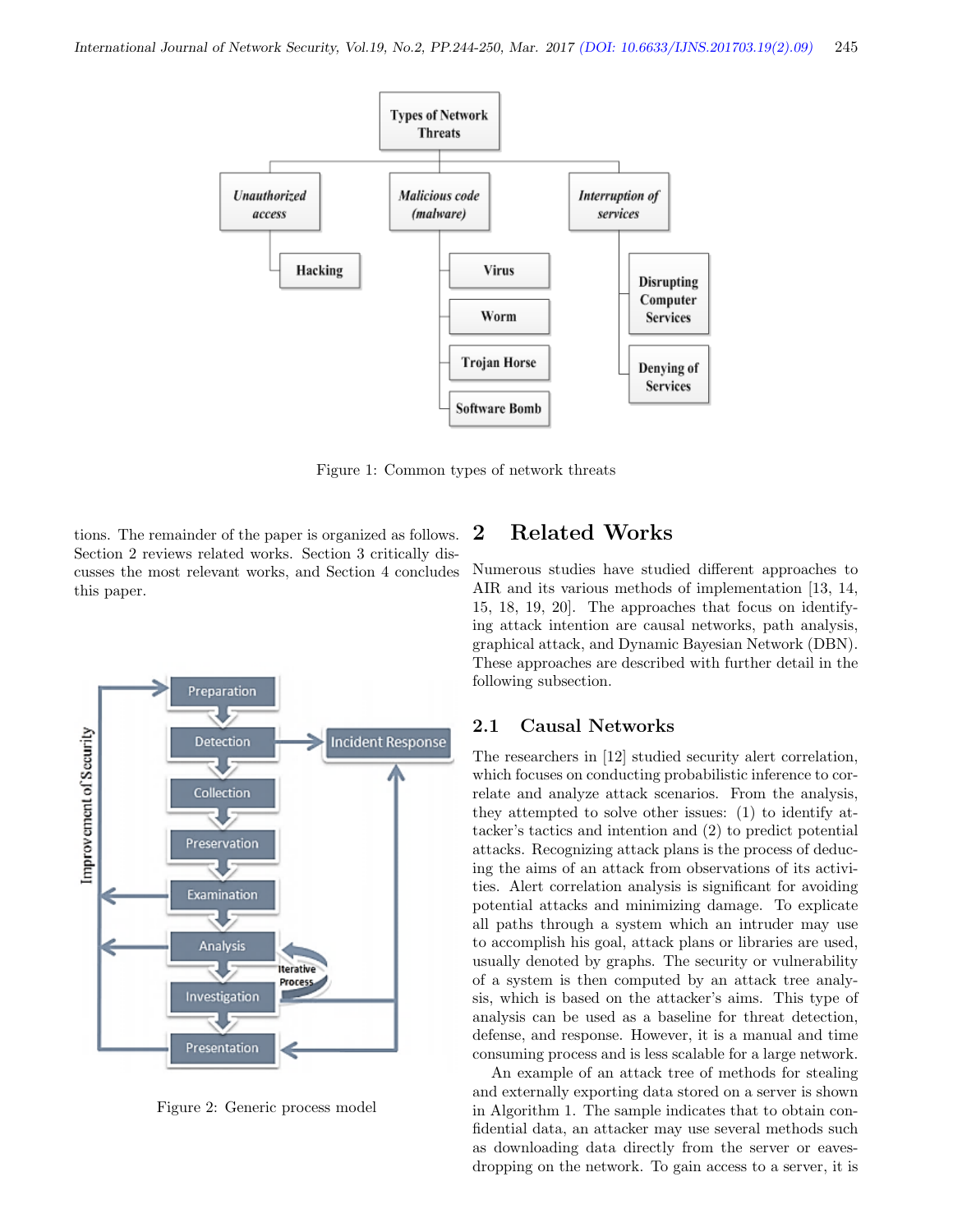

Figure 1: Common types of network threats

tions. The remainder of the paper is organized as follows. Section 2 reviews related works. Section 3 critically discusses the most relevant works, and Section 4 concludes this paper.



Figure 2: Generic process model

# 2 Related Works

Numerous studies have studied different approaches to AIR and its various methods of implementation [13, 14, 15, 18, 19, 20]. The approaches that focus on identifying attack intention are causal networks, path analysis, graphical attack, and Dynamic Bayesian Network (DBN). These approaches are described with further detail in the following subsection.

#### 2.1 Causal Networks

The researchers in [12] studied security alert correlation, which focuses on conducting probabilistic inference to correlate and analyze attack scenarios. From the analysis, they attempted to solve other issues: (1) to identify attacker's tactics and intention and (2) to predict potential attacks. Recognizing attack plans is the process of deducing the aims of an attack from observations of its activities. Alert correlation analysis is significant for avoiding potential attacks and minimizing damage. To explicate all paths through a system which an intruder may use to accomplish his goal, attack plans or libraries are used, usually denoted by graphs. The security or vulnerability of a system is then computed by an attack tree analysis, which is based on the attacker's aims. This type of analysis can be used as a baseline for threat detection, defense, and response. However, it is a manual and time consuming process and is less scalable for a large network.

An example of an attack tree of methods for stealing and externally exporting data stored on a server is shown in Algorithm 1. The sample indicates that to obtain confidential data, an attacker may use several methods such as downloading data directly from the server or eavesdropping on the network. To gain access to a server, it is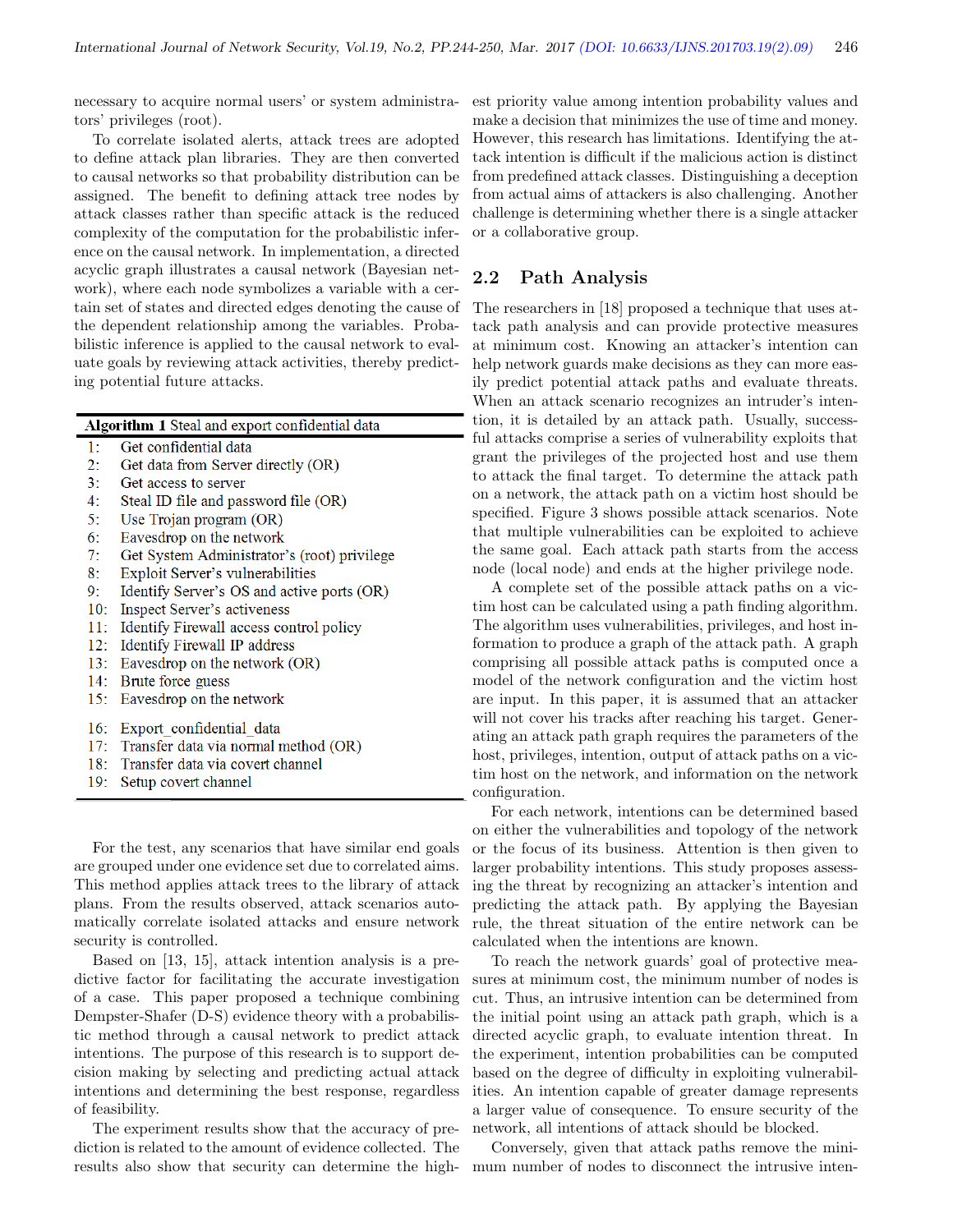necessary to acquire normal users' or system administrators' privileges (root).

To correlate isolated alerts, attack trees are adopted to define attack plan libraries. They are then converted to causal networks so that probability distribution can be assigned. The benefit to defining attack tree nodes by attack classes rather than specific attack is the reduced complexity of the computation for the probabilistic inference on the causal network. In implementation, a directed acyclic graph illustrates a causal network (Bayesian network), where each node symbolizes a variable with a certain set of states and directed edges denoting the cause of the dependent relationship among the variables. Probabilistic inference is applied to the causal network to evaluate goals by reviewing attack activities, thereby predicting potential future attacks.

| Algorithm 1 Steal and export confidential data |                                             |  |
|------------------------------------------------|---------------------------------------------|--|
| 1:                                             | Get confidential data                       |  |
| 2:                                             | Get data from Server directly (OR)          |  |
| 3:                                             | Get access to server                        |  |
| 4:                                             | Steal ID file and password file (OR)        |  |
| 5:                                             | Use Trojan program (OR)                     |  |
| 6:                                             | Eavesdrop on the network                    |  |
| 7:                                             | Get System Administrator's (root) privilege |  |
| 8:                                             | Exploit Server's vulnerabilities            |  |
| 9:                                             | Identify Server's OS and active ports (OR)  |  |
| 10:                                            | Inspect Server's activeness                 |  |
| 11:                                            | Identify Firewall access control policy     |  |
| 12:                                            | Identify Firewall IP address                |  |
| 13:                                            | Eavesdrop on the network (OR)               |  |
|                                                | 14: Brute force guess                       |  |
| 15:                                            | Eavesdrop on the network                    |  |
|                                                |                                             |  |
|                                                | 16: Export confidential data                |  |
|                                                | 17: Transfer data via normal method (OR)    |  |
|                                                | 18: Transfer data via covert channel        |  |

19: Setup covert channel

For the test, any scenarios that have similar end goals are grouped under one evidence set due to correlated aims. This method applies attack trees to the library of attack plans. From the results observed, attack scenarios automatically correlate isolated attacks and ensure network security is controlled.

Based on [13, 15], attack intention analysis is a predictive factor for facilitating the accurate investigation of a case. This paper proposed a technique combining Dempster-Shafer (D-S) evidence theory with a probabilistic method through a causal network to predict attack intentions. The purpose of this research is to support decision making by selecting and predicting actual attack intentions and determining the best response, regardless of feasibility.

The experiment results show that the accuracy of prediction is related to the amount of evidence collected. The results also show that security can determine the highest priority value among intention probability values and make a decision that minimizes the use of time and money. However, this research has limitations. Identifying the attack intention is difficult if the malicious action is distinct from predefined attack classes. Distinguishing a deception from actual aims of attackers is also challenging. Another challenge is determining whether there is a single attacker or a collaborative group.

#### 2.2 Path Analysis

The researchers in [18] proposed a technique that uses attack path analysis and can provide protective measures at minimum cost. Knowing an attacker's intention can help network guards make decisions as they can more easily predict potential attack paths and evaluate threats. When an attack scenario recognizes an intruder's intention, it is detailed by an attack path. Usually, successful attacks comprise a series of vulnerability exploits that grant the privileges of the projected host and use them to attack the final target. To determine the attack path on a network, the attack path on a victim host should be specified. Figure 3 shows possible attack scenarios. Note that multiple vulnerabilities can be exploited to achieve the same goal. Each attack path starts from the access node (local node) and ends at the higher privilege node.

A complete set of the possible attack paths on a victim host can be calculated using a path finding algorithm. The algorithm uses vulnerabilities, privileges, and host information to produce a graph of the attack path. A graph comprising all possible attack paths is computed once a model of the network configuration and the victim host are input. In this paper, it is assumed that an attacker will not cover his tracks after reaching his target. Generating an attack path graph requires the parameters of the host, privileges, intention, output of attack paths on a victim host on the network, and information on the network configuration.

For each network, intentions can be determined based on either the vulnerabilities and topology of the network or the focus of its business. Attention is then given to larger probability intentions. This study proposes assessing the threat by recognizing an attacker's intention and predicting the attack path. By applying the Bayesian rule, the threat situation of the entire network can be calculated when the intentions are known.

To reach the network guards' goal of protective measures at minimum cost, the minimum number of nodes is cut. Thus, an intrusive intention can be determined from the initial point using an attack path graph, which is a directed acyclic graph, to evaluate intention threat. In the experiment, intention probabilities can be computed based on the degree of difficulty in exploiting vulnerabilities. An intention capable of greater damage represents a larger value of consequence. To ensure security of the network, all intentions of attack should be blocked.

Conversely, given that attack paths remove the minimum number of nodes to disconnect the intrusive inten-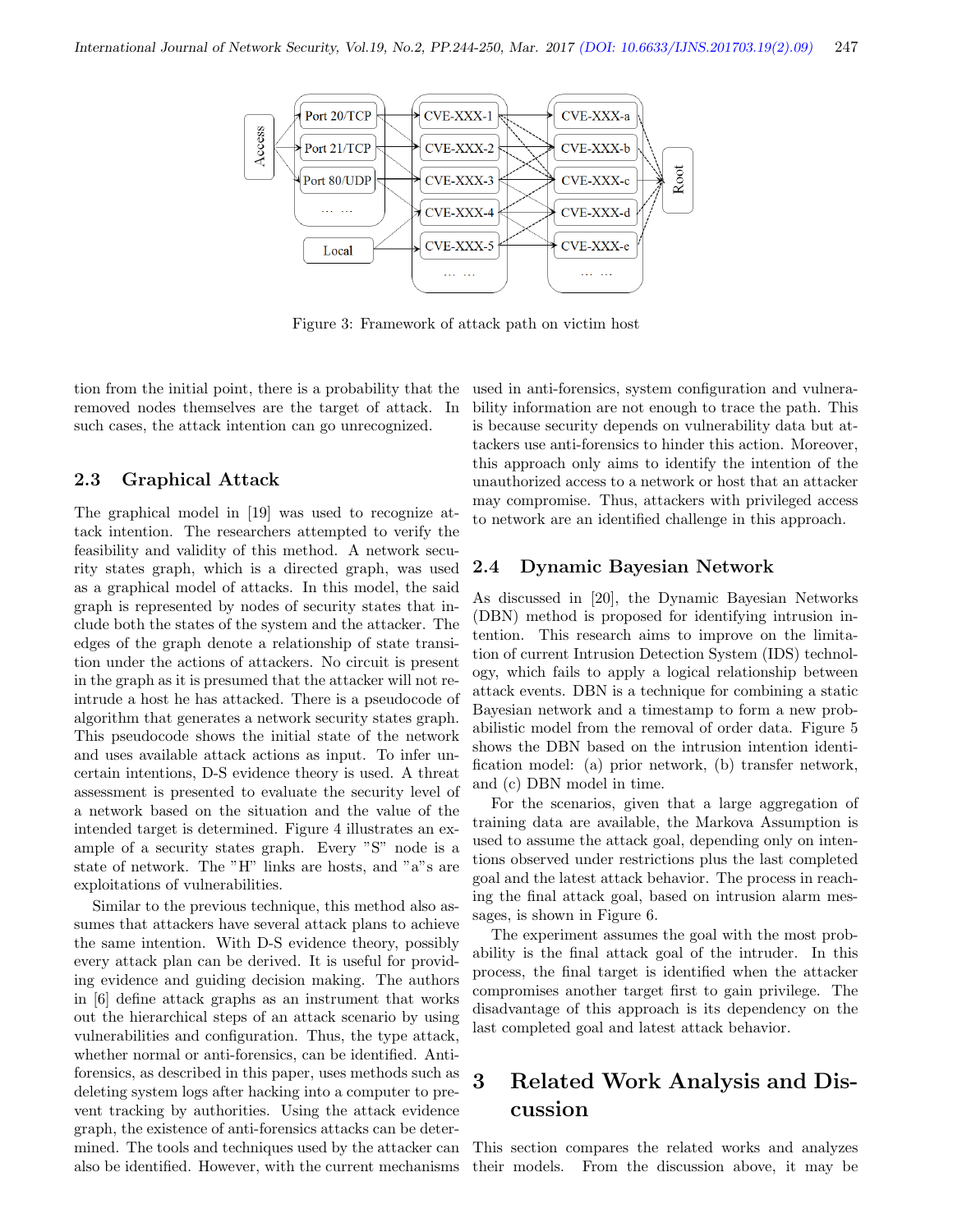

Figure 3: Framework of attack path on victim host

tion from the initial point, there is a probability that the removed nodes themselves are the target of attack. In such cases, the attack intention can go unrecognized.

#### 2.3 Graphical Attack

The graphical model in [19] was used to recognize attack intention. The researchers attempted to verify the feasibility and validity of this method. A network security states graph, which is a directed graph, was used as a graphical model of attacks. In this model, the said graph is represented by nodes of security states that include both the states of the system and the attacker. The edges of the graph denote a relationship of state transition under the actions of attackers. No circuit is present in the graph as it is presumed that the attacker will not reintrude a host he has attacked. There is a pseudocode of algorithm that generates a network security states graph. This pseudocode shows the initial state of the network and uses available attack actions as input. To infer uncertain intentions, D-S evidence theory is used. A threat assessment is presented to evaluate the security level of a network based on the situation and the value of the intended target is determined. Figure 4 illustrates an example of a security states graph. Every "S" node is a state of network. The "H" links are hosts, and "a"s are exploitations of vulnerabilities.

Similar to the previous technique, this method also assumes that attackers have several attack plans to achieve the same intention. With D-S evidence theory, possibly every attack plan can be derived. It is useful for providing evidence and guiding decision making. The authors in [6] define attack graphs as an instrument that works out the hierarchical steps of an attack scenario by using vulnerabilities and configuration. Thus, the type attack, whether normal or anti-forensics, can be identified. Antiforensics, as described in this paper, uses methods such as deleting system logs after hacking into a computer to prevent tracking by authorities. Using the attack evidence graph, the existence of anti-forensics attacks can be determined. The tools and techniques used by the attacker can also be identified. However, with the current mechanisms

used in anti-forensics, system configuration and vulnerability information are not enough to trace the path. This is because security depends on vulnerability data but attackers use anti-forensics to hinder this action. Moreover, this approach only aims to identify the intention of the unauthorized access to a network or host that an attacker may compromise. Thus, attackers with privileged access to network are an identified challenge in this approach.

#### 2.4 Dynamic Bayesian Network

As discussed in [20], the Dynamic Bayesian Networks (DBN) method is proposed for identifying intrusion intention. This research aims to improve on the limitation of current Intrusion Detection System (IDS) technology, which fails to apply a logical relationship between attack events. DBN is a technique for combining a static Bayesian network and a timestamp to form a new probabilistic model from the removal of order data. Figure 5 shows the DBN based on the intrusion intention identification model: (a) prior network, (b) transfer network, and (c) DBN model in time.

For the scenarios, given that a large aggregation of training data are available, the Markova Assumption is used to assume the attack goal, depending only on intentions observed under restrictions plus the last completed goal and the latest attack behavior. The process in reaching the final attack goal, based on intrusion alarm messages, is shown in Figure 6.

The experiment assumes the goal with the most probability is the final attack goal of the intruder. In this process, the final target is identified when the attacker compromises another target first to gain privilege. The disadvantage of this approach is its dependency on the last completed goal and latest attack behavior.

# 3 Related Work Analysis and Discussion

This section compares the related works and analyzes their models. From the discussion above, it may be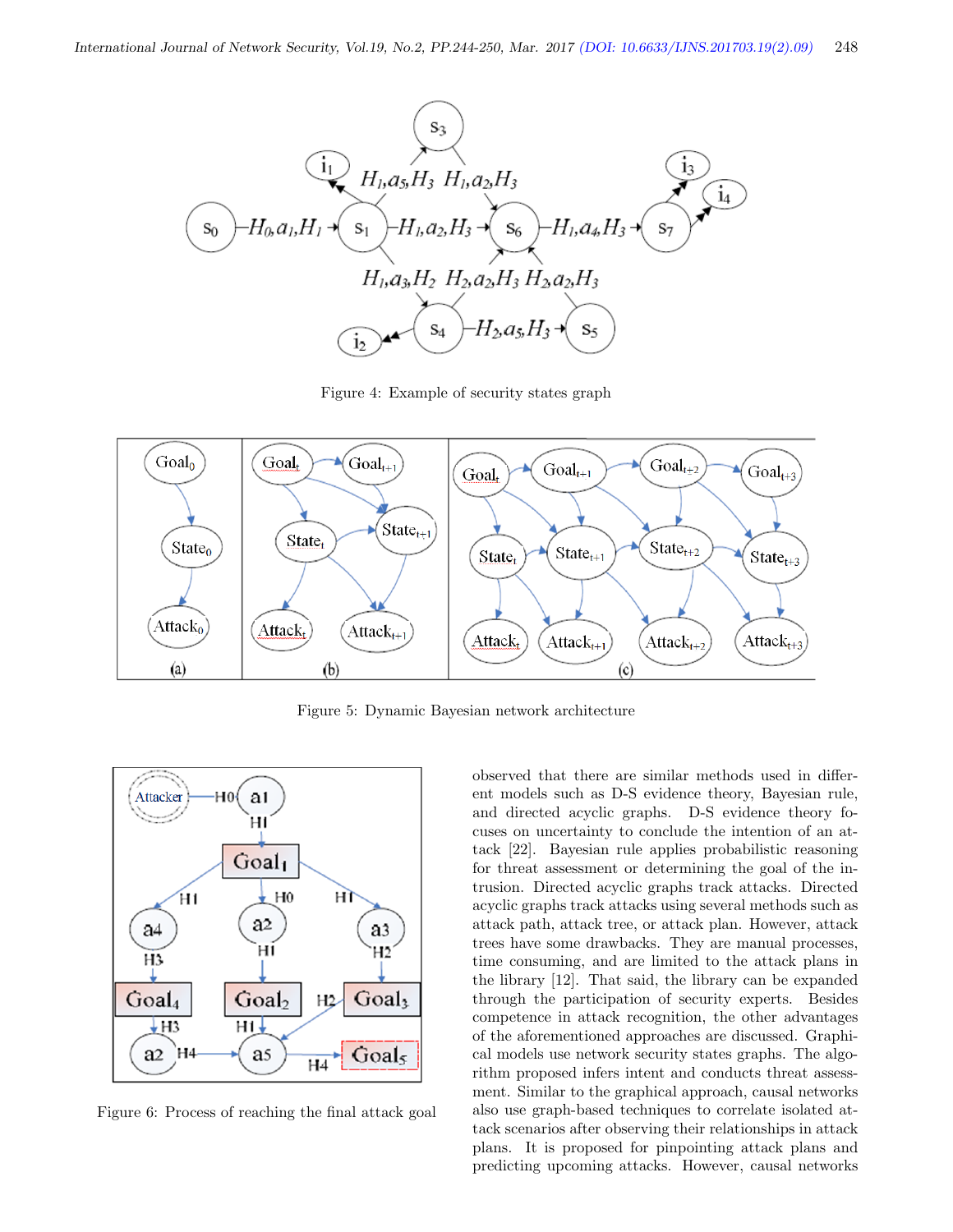

Figure 4: Example of security states graph



Figure 5: Dynamic Bayesian network architecture



Figure 6: Process of reaching the final attack goal

observed that there are similar methods used in different models such as D-S evidence theory, Bayesian rule, and directed acyclic graphs. D-S evidence theory focuses on uncertainty to conclude the intention of an attack [22]. Bayesian rule applies probabilistic reasoning for threat assessment or determining the goal of the intrusion. Directed acyclic graphs track attacks. Directed acyclic graphs track attacks using several methods such as attack path, attack tree, or attack plan. However, attack trees have some drawbacks. They are manual processes, time consuming, and are limited to the attack plans in the library [12]. That said, the library can be expanded through the participation of security experts. Besides competence in attack recognition, the other advantages of the aforementioned approaches are discussed. Graphical models use network security states graphs. The algorithm proposed infers intent and conducts threat assessment. Similar to the graphical approach, causal networks also use graph-based techniques to correlate isolated attack scenarios after observing their relationships in attack plans. It is proposed for pinpointing attack plans and predicting upcoming attacks. However, causal networks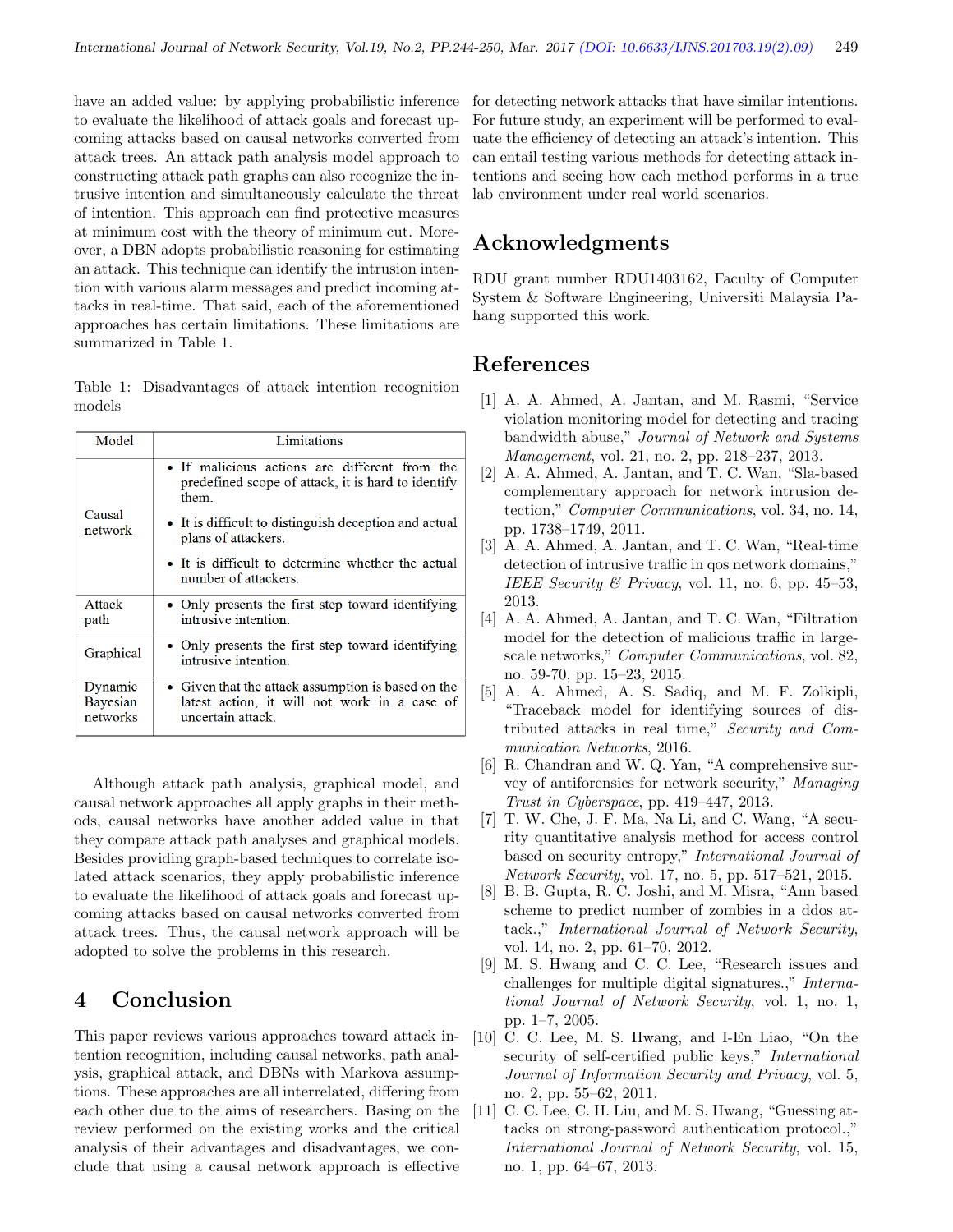have an added value: by applying probabilistic inference to evaluate the likelihood of attack goals and forecast upcoming attacks based on causal networks converted from attack trees. An attack path analysis model approach to constructing attack path graphs can also recognize the intrusive intention and simultaneously calculate the threat of intention. This approach can find protective measures at minimum cost with the theory of minimum cut. Moreover, a DBN adopts probabilistic reasoning for estimating an attack. This technique can identify the intrusion intention with various alarm messages and predict incoming attacks in real-time. That said, each of the aforementioned approaches has certain limitations. These limitations are summarized in Table 1.

Table 1: Disadvantages of attack intention recognition models

| Model                           | Limitations                                                                                                                                                                                  |
|---------------------------------|----------------------------------------------------------------------------------------------------------------------------------------------------------------------------------------------|
| Causal<br>network               | • If malicious actions are different from the<br>predefined scope of attack, it is hard to identify<br>them.<br>• It is difficult to distinguish deception and actual<br>plans of attackers. |
|                                 | • It is difficult to determine whether the actual<br>number of attackers.                                                                                                                    |
| Attack<br>path                  | • Only presents the first step toward identifying<br>intrusive intention.                                                                                                                    |
| Graphical                       | • Only presents the first step toward identifying<br>intrusive intention.                                                                                                                    |
| Dynamic<br>Bayesian<br>networks | • Given that the attack assumption is based on the<br>latest action, it will not work in a case of<br>uncertain attack.                                                                      |

Although attack path analysis, graphical model, and causal network approaches all apply graphs in their methods, causal networks have another added value in that they compare attack path analyses and graphical models. Besides providing graph-based techniques to correlate isolated attack scenarios, they apply probabilistic inference to evaluate the likelihood of attack goals and forecast upcoming attacks based on causal networks converted from attack trees. Thus, the causal network approach will be adopted to solve the problems in this research.

# 4 Conclusion

This paper reviews various approaches toward attack intention recognition, including causal networks, path analysis, graphical attack, and DBNs with Markova assumptions. These approaches are all interrelated, differing from each other due to the aims of researchers. Basing on the review performed on the existing works and the critical analysis of their advantages and disadvantages, we conclude that using a causal network approach is effective

for detecting network attacks that have similar intentions. For future study, an experiment will be performed to evaluate the efficiency of detecting an attack's intention. This can entail testing various methods for detecting attack intentions and seeing how each method performs in a true lab environment under real world scenarios.

# Acknowledgments

RDU grant number RDU1403162, Faculty of Computer System & Software Engineering, Universiti Malaysia Pahang supported this work.

### References

- [1] A. A. Ahmed, A. Jantan, and M. Rasmi, "Service violation monitoring model for detecting and tracing bandwidth abuse," Journal of Network and Systems Management, vol. 21, no. 2, pp. 218–237, 2013.
- [2] A. A. Ahmed, A. Jantan, and T. C. Wan, "Sla-based complementary approach for network intrusion detection," Computer Communications, vol. 34, no. 14, pp. 1738–1749, 2011.
- [3] A. A. Ahmed, A. Jantan, and T. C. Wan, "Real-time detection of intrusive traffic in qos network domains," IEEE Security & Privacy, vol. 11, no. 6, pp. 45–53, 2013.
- [4] A. A. Ahmed, A. Jantan, and T. C. Wan, "Filtration model for the detection of malicious traffic in largescale networks," Computer Communications, vol. 82, no. 59-70, pp. 15–23, 2015.
- [5] A. A. Ahmed, A. S. Sadiq, and M. F. Zolkipli, "Traceback model for identifying sources of distributed attacks in real time," Security and Communication Networks, 2016.
- [6] R. Chandran and W. Q. Yan, "A comprehensive survey of antiforensics for network security," Managing Trust in Cyberspace, pp. 419–447, 2013.
- [7] T. W. Che, J. F. Ma, Na Li, and C. Wang, "A security quantitative analysis method for access control based on security entropy," International Journal of Network Security, vol. 17, no. 5, pp. 517–521, 2015.
- [8] B. B. Gupta, R. C. Joshi, and M. Misra, "Ann based scheme to predict number of zombies in a ddos attack.," International Journal of Network Security, vol. 14, no. 2, pp. 61–70, 2012.
- [9] M. S. Hwang and C. C. Lee, "Research issues and challenges for multiple digital signatures.," International Journal of Network Security, vol. 1, no. 1, pp. 1–7, 2005.
- [10] C. C. Lee, M. S. Hwang, and I-En Liao, "On the security of self-certified public keys," International Journal of Information Security and Privacy, vol. 5, no. 2, pp. 55–62, 2011.
- [11] C. C. Lee, C. H. Liu, and M. S. Hwang, "Guessing attacks on strong-password authentication protocol.," International Journal of Network Security, vol. 15, no. 1, pp. 64–67, 2013.